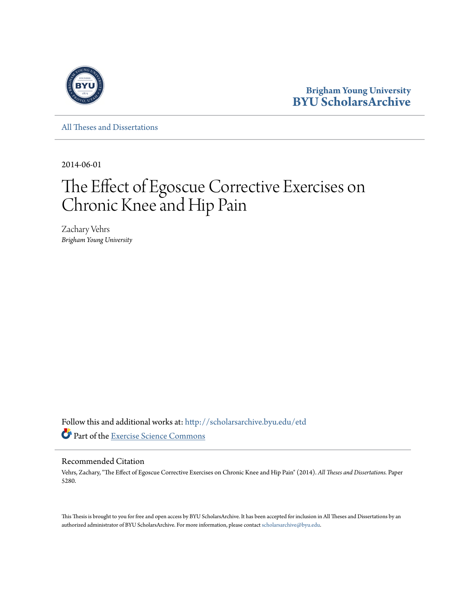

**Brigham Young University [BYU ScholarsArchive](http://scholarsarchive.byu.edu?utm_source=scholarsarchive.byu.edu%2Fetd%2F5280&utm_medium=PDF&utm_campaign=PDFCoverPages)**

[All Theses and Dissertations](http://scholarsarchive.byu.edu/etd?utm_source=scholarsarchive.byu.edu%2Fetd%2F5280&utm_medium=PDF&utm_campaign=PDFCoverPages)

2014-06-01

# The Effect of Egoscue Corrective Exercises on Chronic Knee and Hip Pain

Zachary Vehrs *Brigham Young University*

Follow this and additional works at: [http://scholarsarchive.byu.edu/etd](http://scholarsarchive.byu.edu/etd?utm_source=scholarsarchive.byu.edu%2Fetd%2F5280&utm_medium=PDF&utm_campaign=PDFCoverPages) Part of the [Exercise Science Commons](http://network.bepress.com/hgg/discipline/1091?utm_source=scholarsarchive.byu.edu%2Fetd%2F5280&utm_medium=PDF&utm_campaign=PDFCoverPages)

## Recommended Citation

Vehrs, Zachary, "The Effect of Egoscue Corrective Exercises on Chronic Knee and Hip Pain" (2014). *All Theses and Dissertations.* Paper 5280.

This Thesis is brought to you for free and open access by BYU ScholarsArchive. It has been accepted for inclusion in All Theses and Dissertations by an authorized administrator of BYU ScholarsArchive. For more information, please contact [scholarsarchive@byu.edu.](mailto:scholarsarchive@byu.edu)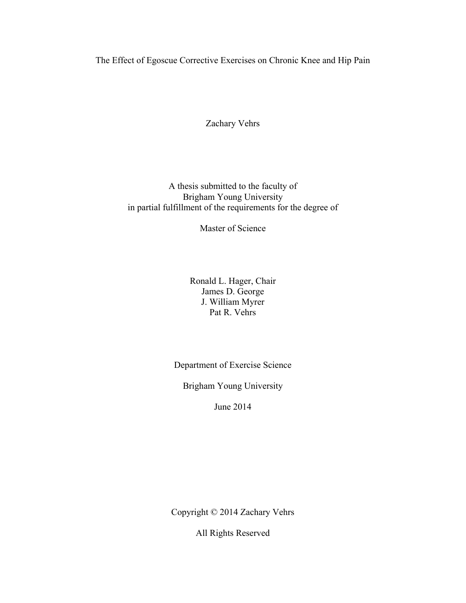<span id="page-1-0"></span>The Effect of Egoscue Corrective Exercises on Chronic Knee and Hip Pain

Zachary Vehrs

A thesis submitted to the faculty of Brigham Young University in partial fulfillment of the requirements for the degree of

Master of Science

Ronald L. Hager, Chair James D. George J. William Myrer Pat R. Vehrs

Department of Exercise Science

Brigham Young University

June 2014

Copyright © 2014 Zachary Vehrs

All Rights Reserved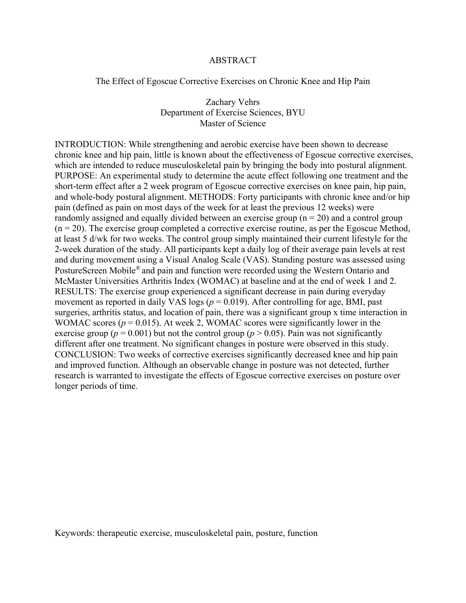## ABSTRACT

<span id="page-2-0"></span>The Effect of Egoscue Corrective Exercises on Chronic Knee and Hip Pain

Zachary Vehrs Department of Exercise Sciences, BYU Master of Science

INTRODUCTION: While strengthening and aerobic exercise have been shown to decrease chronic knee and hip pain, little is known about the effectiveness of Egoscue corrective exercises, which are intended to reduce musculoskeletal pain by bringing the body into postural alignment. PURPOSE: An experimental study to determine the acute effect following one treatment and the short-term effect after a 2 week program of Egoscue corrective exercises on knee pain, hip pain, and whole-body postural alignment. METHODS: Forty participants with chronic knee and/or hip pain (defined as pain on most days of the week for at least the previous 12 weeks) were randomly assigned and equally divided between an exercise group  $(n = 20)$  and a control group  $(n = 20)$ . The exercise group completed a corrective exercise routine, as per the Egoscue Method, at least 5 d/wk for two weeks. The control group simply maintained their current lifestyle for the 2-week duration of the study. All participants kept a daily log of their average pain levels at rest and during movement using a Visual Analog Scale (VAS). Standing posture was assessed using PostureScreen Mobile® and pain and function were recorded using the Western Ontario and McMaster Universities Arthritis Index (WOMAC) at baseline and at the end of week 1 and 2. RESULTS: The exercise group experienced a significant decrease in pain during everyday movement as reported in daily VAS logs ( $p = 0.019$ ). After controlling for age, BMI, past surgeries, arthritis status, and location of pain, there was a significant group x time interaction in WOMAC scores ( $p = 0.015$ ). At week 2, WOMAC scores were significantly lower in the exercise group ( $p = 0.001$ ) but not the control group ( $p > 0.05$ ). Pain was not significantly different after one treatment. No significant changes in posture were observed in this study. CONCLUSION: Two weeks of corrective exercises significantly decreased knee and hip pain and improved function. Although an observable change in posture was not detected, further research is warranted to investigate the effects of Egoscue corrective exercises on posture over longer periods of time.

Keywords: therapeutic exercise, musculoskeletal pain, posture, function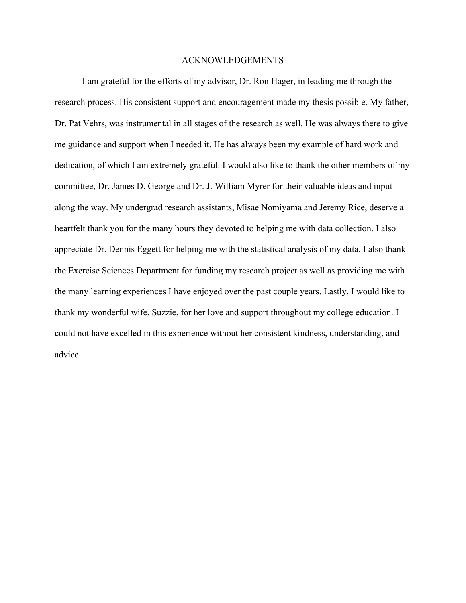## ACKNOWLEDGEMENTS

<span id="page-3-0"></span>I am grateful for the efforts of my advisor, Dr. Ron Hager, in leading me through the research process. His consistent support and encouragement made my thesis possible. My father, Dr. Pat Vehrs, was instrumental in all stages of the research as well. He was always there to give me guidance and support when I needed it. He has always been my example of hard work and dedication, of which I am extremely grateful. I would also like to thank the other members of my committee, Dr. James D. George and Dr. J. William Myrer for their valuable ideas and input along the way. My undergrad research assistants, Misae Nomiyama and Jeremy Rice, deserve a heartfelt thank you for the many hours they devoted to helping me with data collection. I also appreciate Dr. Dennis Eggett for helping me with the statistical analysis of my data. I also thank the Exercise Sciences Department for funding my research project as well as providing me with the many learning experiences I have enjoyed over the past couple years. Lastly, I would like to thank my wonderful wife, Suzzie, for her love and support throughout my college education. I could not have excelled in this experience without her consistent kindness, understanding, and advice.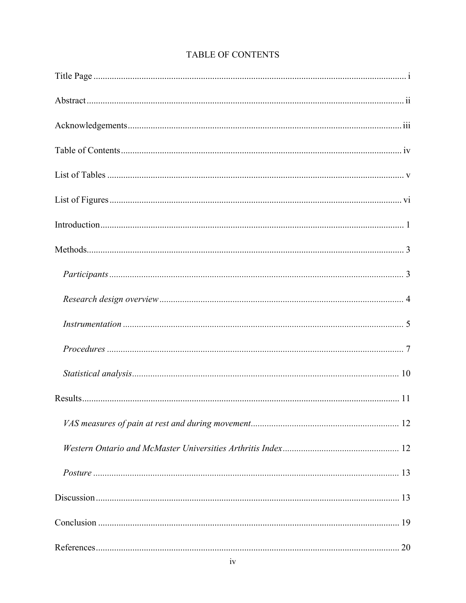<span id="page-4-0"></span>

| 20 |
|----|

# TABLE OF CONTENTS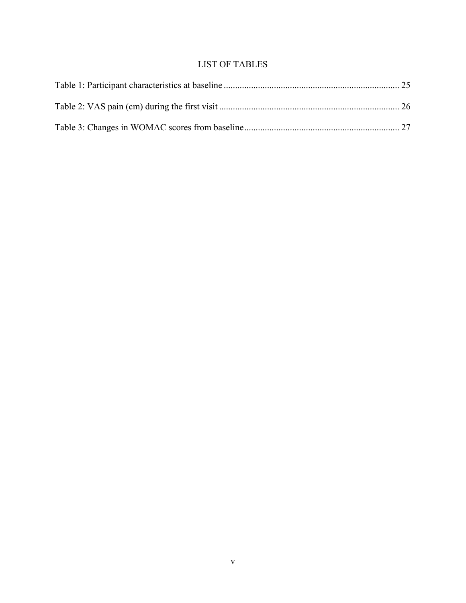## LIST OF TABLES

<span id="page-5-0"></span>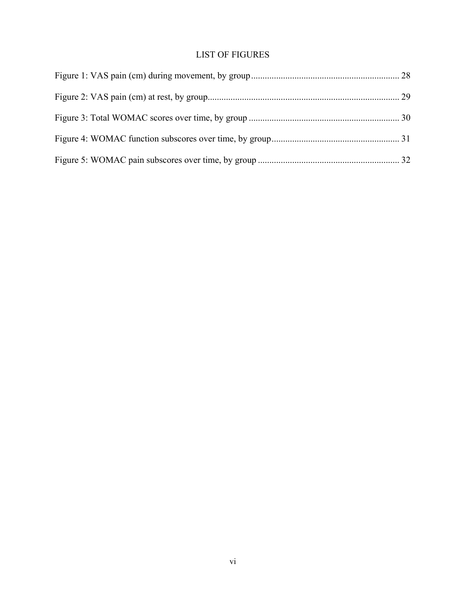# LIST OF FIGURES

<span id="page-6-0"></span>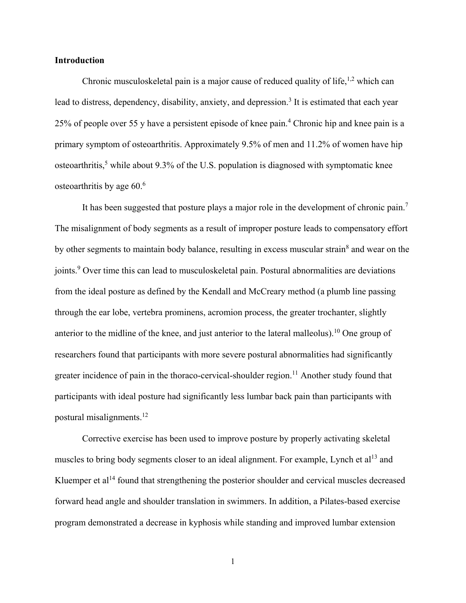## <span id="page-7-0"></span>**Introduction**

Chronic musculoskeletal pain is a major cause of reduced quality of life,  $1,2$  $1,2$  which can leadto distress, dependency, disability, anxiety, and depression.<sup>3</sup> It is estimated that each year 25% of people over 55 y have a persistent episode of knee pain.<sup>[4](#page-26-4)</sup> Chronic hip and knee pain is a primary symptom of osteoarthritis. Approximately 9.5% of men and 11.2% of women have hip osteoarthritis,<sup>[5](#page-26-5)</sup> while about 9.3% of the U.S. population is diagnosed with symptomatic knee osteoarthritis by age [6](#page-26-6)0.<sup>6</sup>

It has been suggested that posture plays a major role in the development of chronic pain.<sup>[7](#page-26-7)</sup> The misalignment of body segments as a result of improper posture leads to compensatory effort by other segments to maintain body balance, resulting in excess muscular strain<sup>[8](#page-26-8)</sup> and wear on the joints[.](#page-26-9)<sup>9</sup> Over time this can lead to musculoskeletal pain. Postural abnormalities are deviations from the ideal posture as defined by the Kendall and McCreary method (a plumb line passing through the ear lobe, vertebra prominens, acromion process, the greater trochanter, slightly anterior to the midline of the knee, and just anterior to the lateral malleolus).[10](#page-27-0) One group of researchers found that participants with more severe postural abnormalities had significantly greater incidence of pain in the thoraco-cervical-shoulder region.<sup>[11](#page-27-1)</sup> Another study found that participants with ideal posture had significantly less lumbar back pain than participants with postural misalignments.<sup>[12](#page-27-2)</sup>

 Corrective exercise has been used to improve posture by properly activating skeletal muscles to bring body segments closer to an ideal alignment. For example, Lynch et al<sup>[13](#page-27-3)</sup> and Kluemper et al<sup>[14](#page-27-4)</sup> found that strengthening the posterior shoulder and cervical muscles decreased forward head angle and shoulder translation in swimmers. In addition, a Pilates-based exercise program demonstrated a decrease in kyphosis while standing and improved lumbar extension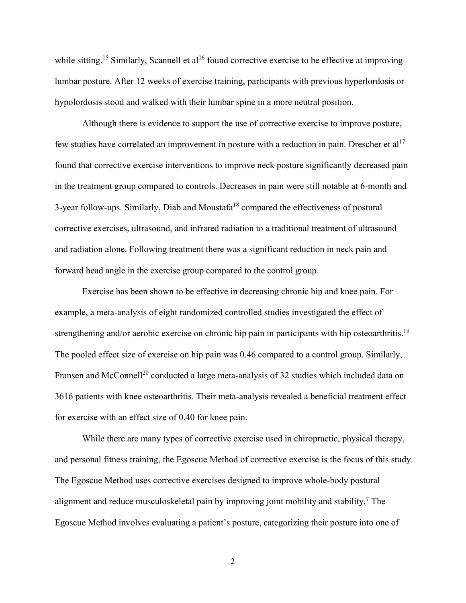while sitting.<sup>[15](#page-27-5)</sup> Similarly, Scannell et al<sup>[16](#page-27-6)</sup> found corrective exercise to be effective at improving lumbar posture. After 12 weeks of exercise training, participants with previous hyperlordosis or hypolordosis stood and walked with their lumbar spine in a more neutral position.

 Although there is evidence to support the use of corrective exercise to improve posture, few studies have correlated an improvement in posture with a reduction in pain. Drescher et  $al<sup>17</sup>$  $al<sup>17</sup>$  $al<sup>17</sup>$ found that corrective exercise interventions to improve neck posture significantly decreased pain in the treatment group compared to controls. Decreases in pain were still notable at 6-month and 3-year follow-ups. Similarly, Diab and Moustafa<sup>[18](#page-28-0)</sup> compared the effectiveness of postural corrective exercises, ultrasound, and infrared radiation to a traditional treatment of ultrasound and radiation alone. Following treatment there was a significant reduction in neck pain and forward head angle in the exercise group compared to the control group.

 Exercise has been shown to be effective in decreasing chronic hip and knee pain. For example, a meta-analysis of eight randomized controlled studies investigated the effect of strengthening and/or aerobic exercise on chronic hip pain in participants with hip osteoarthritis.<sup>[19](#page-28-1)</sup> The pooled effect size of exercise on hip pain was 0.46 compared to a control group. Similarly, Fransen and McConnell<sup>[20](#page-28-2)</sup> conducted a large meta-analysis of 32 studies which included data on 3616 patients with knee osteoarthritis. Their meta-analysis revealed a beneficial treatment effect for exercise with an effect size of 0.40 for knee pain.

 While there are many types of corrective exercise used in chiropractic, physical therapy, and personal fitness training, the Egoscue Method of corrective exercise is the focus of this study. The Egoscue Method uses corrective exercises designed to improve whole-body postural alignment and reduce musculoskeletal pain by improving joint mobility and stability.<sup>[7](#page-26-7)</sup> The Egoscue Method involves evaluating a patient's posture, categorizing their posture into one of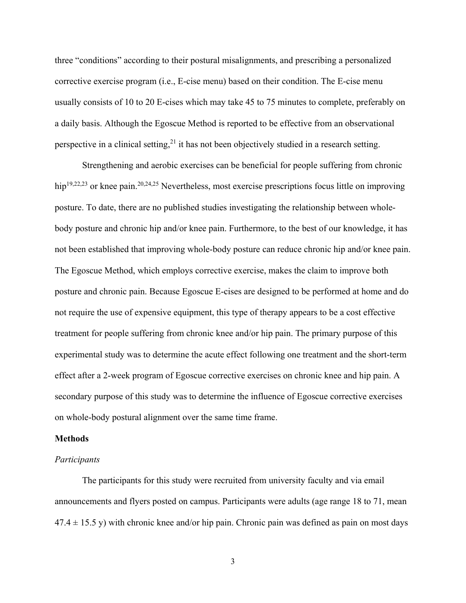three "conditions" according to their postural misalignments, and prescribing a personalized corrective exercise program (i.e., E-cise menu) based on their condition. The E-cise menu usually consists of 10 to 20 E-cises which may take 45 to 75 minutes to complete, preferably on a daily basis. Although the Egoscue Method is reported to be effective from an observational perspective in a clinical setting,  $2<sup>1</sup>$  it has not been objectively studied in a research setting.

 Strengthening and aerobic exercises can be beneficial for people suffering from chronic hip<sup>[19,](#page-28-1)[22,](#page-28-4)[23](#page-28-5)</sup> or knee pain.<sup>[20,](#page-28-2)[24,](#page-28-6)[25](#page-29-0)</sup> Nevertheless, most exercise prescriptions focus little on improving posture. To date, there are no published studies investigating the relationship between wholebody posture and chronic hip and/or knee pain. Furthermore, to the best of our knowledge, it has not been established that improving whole-body posture can reduce chronic hip and/or knee pain. The Egoscue Method, which employs corrective exercise, makes the claim to improve both posture and chronic pain. Because Egoscue E-cises are designed to be performed at home and do not require the use of expensive equipment, this type of therapy appears to be a cost effective treatment for people suffering from chronic knee and/or hip pain. The primary purpose of this experimental study was to determine the acute effect following one treatment and the short-term effect after a 2-week program of Egoscue corrective exercises on chronic knee and hip pain. A secondary purpose of this study was to determine the influence of Egoscue corrective exercises on whole-body postural alignment over the same time frame.

## <span id="page-9-0"></span>**Methods**

### <span id="page-9-1"></span>*Participants*

 The participants for this study were recruited from university faculty and via email announcements and flyers posted on campus. Participants were adults (age range 18 to 71, mean  $47.4 \pm 15.5$  y) with chronic knee and/or hip pain. Chronic pain was defined as pain on most days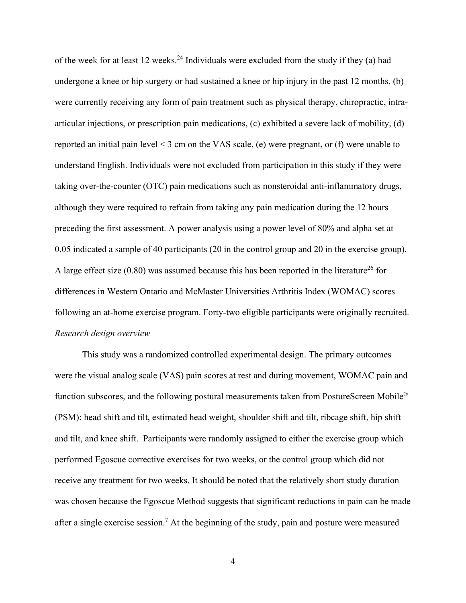of the week for at least 12 weeks.<sup>[24](#page-28-6)</sup> Individuals were excluded from the study if they (a) had undergone a knee or hip surgery or had sustained a knee or hip injury in the past 12 months, (b) were currently receiving any form of pain treatment such as physical therapy, chiropractic, intraarticular injections, or prescription pain medications, (c) exhibited a severe lack of mobility, (d) reported an initial pain level < 3 cm on the VAS scale, (e) were pregnant, or (f) were unable to understand English. Individuals were not excluded from participation in this study if they were taking over-the-counter (OTC) pain medications such as nonsteroidal anti-inflammatory drugs, although they were required to refrain from taking any pain medication during the 12 hours preceding the first assessment. A power analysis using a power level of 80% and alpha set at 0.05 indicated a sample of 40 participants (20 in the control group and 20 in the exercise group). A large effect size  $(0.80)$  was assumed because this has been reported in the literature<sup>[26](#page-29-1)</sup> for differences in Western Ontario and McMaster Universities Arthritis Index (WOMAC) scores following an at-home exercise program. Forty-two eligible participants were originally recruited. *Research design overview* 

<span id="page-10-0"></span> This study was a randomized controlled experimental design. The primary outcomes were the visual analog scale (VAS) pain scores at rest and during movement, WOMAC pain and function subscores, and the following postural measurements taken from PostureScreen Mobile® (PSM): head shift and tilt, estimated head weight, shoulder shift and tilt, ribcage shift, hip shift and tilt, and knee shift. Participants were randomly assigned to either the exercise group which performed Egoscue corrective exercises for two weeks, or the control group which did not receive any treatment for two weeks. It should be noted that the relatively short study duration was chosen because the Egoscue Method suggests that significant reductions in pain can be made after a single exercise session.<sup>7</sup> At the beginning of the study, pain and posture were measured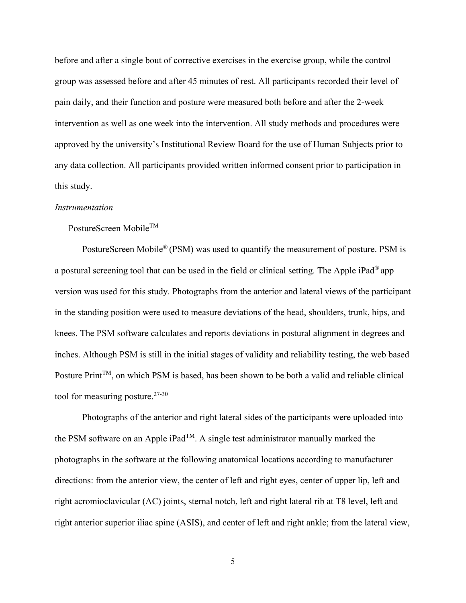before and after a single bout of corrective exercises in the exercise group, while the control group was assessed before and after 45 minutes of rest. All participants recorded their level of pain daily, and their function and posture were measured both before and after the 2-week intervention as well as one week into the intervention. All study methods and procedures were approved by the university's Institutional Review Board for the use of Human Subjects prior to any data collection. All participants provided written informed consent prior to participation in this study.

#### <span id="page-11-0"></span>*Instrumentation*

## PostureScreen Mobile<sup>TM</sup>

 PostureScreen Mobile® (PSM) was used to quantify the measurement of posture. PSM is a postural screening tool that can be used in the field or clinical setting. The Apple iPad® app version was used for this study. Photographs from the anterior and lateral views of the participant in the standing position were used to measure deviations of the head, shoulders, trunk, hips, and knees. The PSM software calculates and reports deviations in postural alignment in degrees and inches. Although PSM is still in the initial stages of validity and reliability testing, the web based Posture  $Print^{TM}$ , on which PSM is based, has been shown to be both a valid and reliable clinical tool for measuring posture.<sup>[27-30](#page-29-2)</sup>

 Photographs of the anterior and right lateral sides of the participants were uploaded into the PSM software on an Apple iPad<sup>TM</sup>. A single test administrator manually marked the photographs in the software at the following anatomical locations according to manufacturer directions: from the anterior view, the center of left and right eyes, center of upper lip, left and right acromioclavicular (AC) joints, sternal notch, left and right lateral rib at T8 level, left and right anterior superior iliac spine (ASIS), and center of left and right ankle; from the lateral view,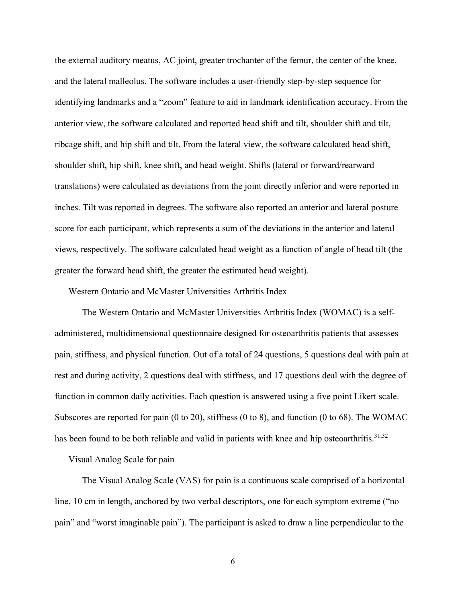the external auditory meatus, AC joint, greater trochanter of the femur, the center of the knee, and the lateral malleolus. The software includes a user-friendly step-by-step sequence for identifying landmarks and a "zoom" feature to aid in landmark identification accuracy. From the anterior view, the software calculated and reported head shift and tilt, shoulder shift and tilt, ribcage shift, and hip shift and tilt. From the lateral view, the software calculated head shift, shoulder shift, hip shift, knee shift, and head weight. Shifts (lateral or forward/rearward translations) were calculated as deviations from the joint directly inferior and were reported in inches. Tilt was reported in degrees. The software also reported an anterior and lateral posture score for each participant, which represents a sum of the deviations in the anterior and lateral views, respectively. The software calculated head weight as a function of angle of head tilt (the greater the forward head shift, the greater the estimated head weight).

Western Ontario and McMaster Universities Arthritis Index

 The Western Ontario and McMaster Universities Arthritis Index (WOMAC) is a selfadministered, multidimensional questionnaire designed for osteoarthritis patients that assesses pain, stiffness, and physical function. Out of a total of 24 questions, 5 questions deal with pain at rest and during activity, 2 questions deal with stiffness, and 17 questions deal with the degree of function in common daily activities. Each question is answered using a five point Likert scale. Subscores are reported for pain (0 to 20), stiffness (0 to 8), and function (0 to 68). The WOMAC has been found to be both reliable and valid in patients with knee and hip osteoarthritis.<sup>[31,](#page-29-3)[32](#page-30-0)</sup>

Visual Analog Scale for pain

 The Visual Analog Scale (VAS) for pain is a continuous scale comprised of a horizontal line, 10 cm in length, anchored by two verbal descriptors, one for each symptom extreme ("no pain" and "worst imaginable pain"). The participant is asked to draw a line perpendicular to the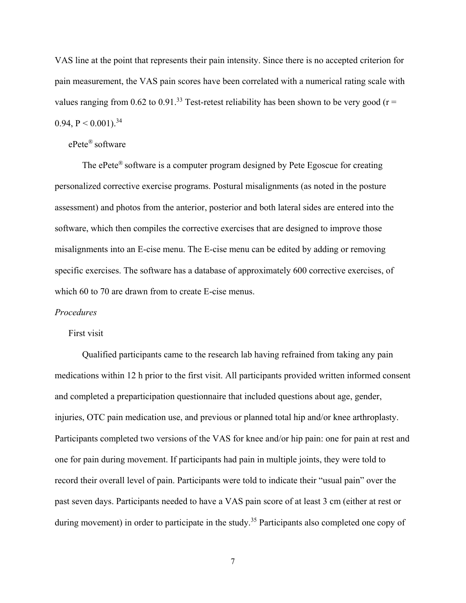VAS line at the point that represents their pain intensity. Since there is no accepted criterion for pain measurement, the VAS pain scores have been correlated with a numerical rating scale with values ranging from 0.62 to 0.91.<sup>[33](#page-30-1)</sup> Test-retest reliability has been shown to be very good ( $r =$ 0.94,  $P < 0.001$ ).<sup>[34](#page-30-2)</sup>

## ePete® software

 The ePete® software is a computer program designed by Pete Egoscue for creating personalized corrective exercise programs. Postural misalignments (as noted in the posture assessment) and photos from the anterior, posterior and both lateral sides are entered into the software, which then compiles the corrective exercises that are designed to improve those misalignments into an E-cise menu. The E-cise menu can be edited by adding or removing specific exercises. The software has a database of approximately 600 corrective exercises, of which 60 to 70 are drawn from to create E-cise menus.

## <span id="page-13-0"></span>*Procedures*

## First visit

Qualified participants came to the research lab having refrained from taking any pain medications within 12 h prior to the first visit. All participants provided written informed consent and completed a preparticipation questionnaire that included questions about age, gender, injuries, OTC pain medication use, and previous or planned total hip and/or knee arthroplasty. Participants completed two versions of the VAS for knee and/or hip pain: one for pain at rest and one for pain during movement. If participants had pain in multiple joints, they were told to record their overall level of pain. Participants were told to indicate their "usual pain" over the past seven days. Participants needed to have a VAS pain score of at least 3 cm (either at rest or during movement) in order to participate in the study.<sup>[35](#page-30-3)</sup> Participants also completed one copy of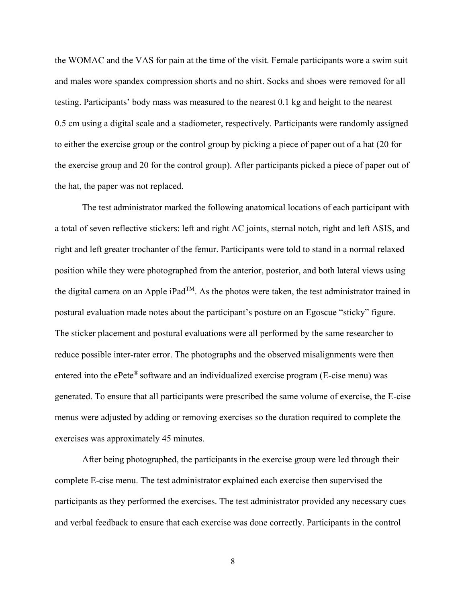the WOMAC and the VAS for pain at the time of the visit. Female participants wore a swim suit and males wore spandex compression shorts and no shirt. Socks and shoes were removed for all testing. Participants' body mass was measured to the nearest 0.1 kg and height to the nearest 0.5 cm using a digital scale and a stadiometer, respectively. Participants were randomly assigned to either the exercise group or the control group by picking a piece of paper out of a hat (20 for the exercise group and 20 for the control group). After participants picked a piece of paper out of the hat, the paper was not replaced.

 The test administrator marked the following anatomical locations of each participant with a total of seven reflective stickers: left and right AC joints, sternal notch, right and left ASIS, and right and left greater trochanter of the femur. Participants were told to stand in a normal relaxed position while they were photographed from the anterior, posterior, and both lateral views using the digital camera on an Apple iPad<sup>TM</sup>. As the photos were taken, the test administrator trained in postural evaluation made notes about the participant's posture on an Egoscue "sticky" figure. The sticker placement and postural evaluations were all performed by the same researcher to reduce possible inter-rater error. The photographs and the observed misalignments were then entered into the ePete<sup>®</sup> software and an individualized exercise program (E-cise menu) was generated. To ensure that all participants were prescribed the same volume of exercise, the E-cise menus were adjusted by adding or removing exercises so the duration required to complete the exercises was approximately 45 minutes.

 After being photographed, the participants in the exercise group were led through their complete E-cise menu. The test administrator explained each exercise then supervised the participants as they performed the exercises. The test administrator provided any necessary cues and verbal feedback to ensure that each exercise was done correctly. Participants in the control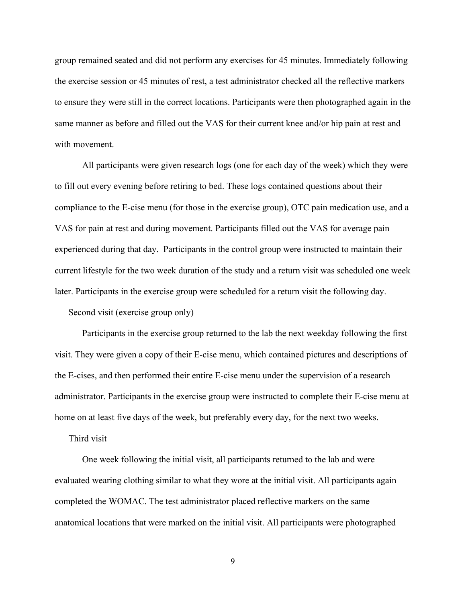group remained seated and did not perform any exercises for 45 minutes. Immediately following the exercise session or 45 minutes of rest, a test administrator checked all the reflective markers to ensure they were still in the correct locations. Participants were then photographed again in the same manner as before and filled out the VAS for their current knee and/or hip pain at rest and with movement.

 All participants were given research logs (one for each day of the week) which they were to fill out every evening before retiring to bed. These logs contained questions about their compliance to the E-cise menu (for those in the exercise group), OTC pain medication use, and a VAS for pain at rest and during movement. Participants filled out the VAS for average pain experienced during that day. Participants in the control group were instructed to maintain their current lifestyle for the two week duration of the study and a return visit was scheduled one week later. Participants in the exercise group were scheduled for a return visit the following day.

Second visit (exercise group only)

Participants in the exercise group returned to the lab the next weekday following the first visit. They were given a copy of their E-cise menu, which contained pictures and descriptions of the E-cises, and then performed their entire E-cise menu under the supervision of a research administrator. Participants in the exercise group were instructed to complete their E-cise menu at home on at least five days of the week, but preferably every day, for the next two weeks.

Third visit

One week following the initial visit, all participants returned to the lab and were evaluated wearing clothing similar to what they wore at the initial visit. All participants again completed the WOMAC. The test administrator placed reflective markers on the same anatomical locations that were marked on the initial visit. All participants were photographed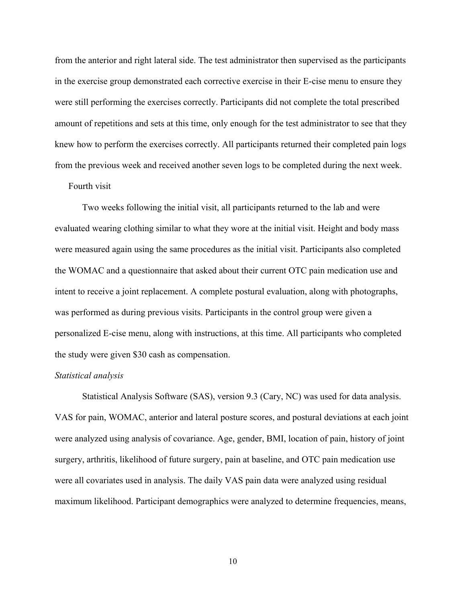from the anterior and right lateral side. The test administrator then supervised as the participants in the exercise group demonstrated each corrective exercise in their E-cise menu to ensure they were still performing the exercises correctly. Participants did not complete the total prescribed amount of repetitions and sets at this time, only enough for the test administrator to see that they knew how to perform the exercises correctly. All participants returned their completed pain logs from the previous week and received another seven logs to be completed during the next week.

## Fourth visit

Two weeks following the initial visit, all participants returned to the lab and were evaluated wearing clothing similar to what they wore at the initial visit. Height and body mass were measured again using the same procedures as the initial visit. Participants also completed the WOMAC and a questionnaire that asked about their current OTC pain medication use and intent to receive a joint replacement. A complete postural evaluation, along with photographs, was performed as during previous visits. Participants in the control group were given a personalized E-cise menu, along with instructions, at this time. All participants who completed the study were given \$30 cash as compensation.

## <span id="page-16-0"></span>*Statistical analysis*

Statistical Analysis Software (SAS), version 9.3 (Cary, NC) was used for data analysis. VAS for pain, WOMAC, anterior and lateral posture scores, and postural deviations at each joint were analyzed using analysis of covariance. Age, gender, BMI, location of pain, history of joint surgery, arthritis, likelihood of future surgery, pain at baseline, and OTC pain medication use were all covariates used in analysis. The daily VAS pain data were analyzed using residual maximum likelihood. Participant demographics were analyzed to determine frequencies, means,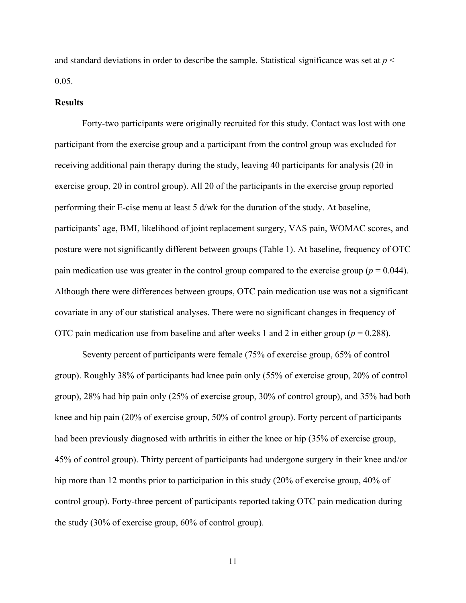and standard deviations in order to describe the sample. Statistical significance was set at *p* < 0.05.

#### <span id="page-17-0"></span>**Results**

 Forty-two participants were originally recruited for this study. Contact was lost with one participant from the exercise group and a participant from the control group was excluded for receiving additional pain therapy during the study, leaving 40 participants for analysis (20 in exercise group, 20 in control group). All 20 of the participants in the exercise group reported performing their E-cise menu at least 5 d/wk for the duration of the study. At baseline, participants' age, BMI, likelihood of joint replacement surgery, VAS pain, WOMAC scores, and posture were not significantly different between groups (Table 1). At baseline, frequency of OTC pain medication use was greater in the control group compared to the exercise group ( $p = 0.044$ ). Although there were differences between groups, OTC pain medication use was not a significant covariate in any of our statistical analyses. There were no significant changes in frequency of OTC pain medication use from baseline and after weeks 1 and 2 in either group (*p* = 0.288).

Seventy percent of participants were female (75% of exercise group, 65% of control group). Roughly 38% of participants had knee pain only (55% of exercise group, 20% of control group), 28% had hip pain only (25% of exercise group, 30% of control group), and 35% had both knee and hip pain (20% of exercise group, 50% of control group). Forty percent of participants had been previously diagnosed with arthritis in either the knee or hip (35% of exercise group, 45% of control group). Thirty percent of participants had undergone surgery in their knee and/or hip more than 12 months prior to participation in this study (20% of exercise group, 40% of control group). Forty-three percent of participants reported taking OTC pain medication during the study (30% of exercise group, 60% of control group).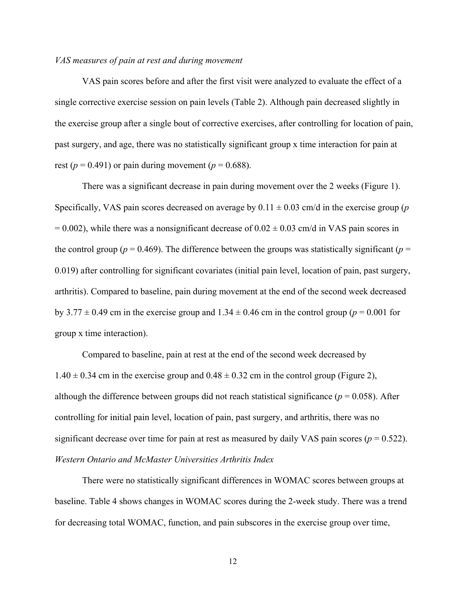## <span id="page-18-0"></span>*VAS measures of pain at rest and during movement*

VAS pain scores before and after the first visit were analyzed to evaluate the effect of a single corrective exercise session on pain levels (Table 2). Although pain decreased slightly in the exercise group after a single bout of corrective exercises, after controlling for location of pain, past surgery, and age, there was no statistically significant group x time interaction for pain at rest ( $p = 0.491$ ) or pain during movement ( $p = 0.688$ ).

There was a significant decrease in pain during movement over the 2 weeks (Figure 1). Specifically, VAS pain scores decreased on average by  $0.11 \pm 0.03$  cm/d in the exercise group (*p*)  $= 0.002$ ), while there was a nonsignificant decrease of  $0.02 \pm 0.03$  cm/d in VAS pain scores in the control group ( $p = 0.469$ ). The difference between the groups was statistically significant ( $p =$ 0.019) after controlling for significant covariates (initial pain level, location of pain, past surgery, arthritis). Compared to baseline, pain during movement at the end of the second week decreased by 3.77  $\pm$  0.49 cm in the exercise group and 1.34  $\pm$  0.46 cm in the control group ( $p = 0.001$  for group x time interaction).

Compared to baseline, pain at rest at the end of the second week decreased by  $1.40 \pm 0.34$  cm in the exercise group and  $0.48 \pm 0.32$  cm in the control group (Figure 2), although the difference between groups did not reach statistical significance ( $p = 0.058$ ). After controlling for initial pain level, location of pain, past surgery, and arthritis, there was no significant decrease over time for pain at rest as measured by daily VAS pain scores ( $p = 0.522$ ). *Western Ontario and McMaster Universities Arthritis Index* 

<span id="page-18-1"></span>There were no statistically significant differences in WOMAC scores between groups at baseline. Table 4 shows changes in WOMAC scores during the 2-week study. There was a trend for decreasing total WOMAC, function, and pain subscores in the exercise group over time,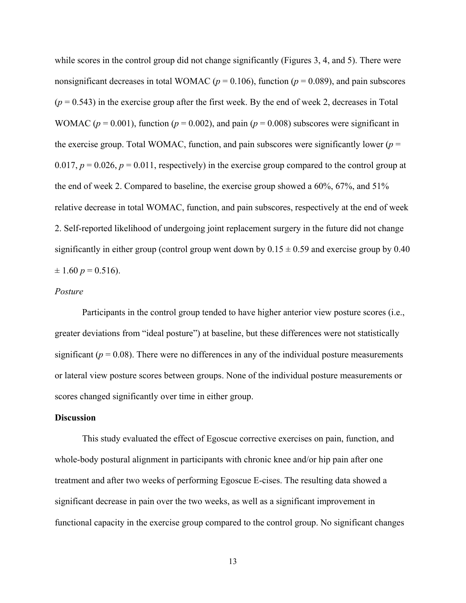while scores in the control group did not change significantly (Figures 3, 4, and 5). There were nonsignificant decreases in total WOMAC ( $p = 0.106$ ), function ( $p = 0.089$ ), and pain subscores  $(p = 0.543)$  in the exercise group after the first week. By the end of week 2, decreases in Total WOMAC ( $p = 0.001$ ), function ( $p = 0.002$ ), and pain ( $p = 0.008$ ) subscores were significant in the exercise group. Total WOMAC, function, and pain subscores were significantly lower ( $p =$ 0.017,  $p = 0.026$ ,  $p = 0.011$ , respectively) in the exercise group compared to the control group at the end of week 2. Compared to baseline, the exercise group showed a 60%, 67%, and 51% relative decrease in total WOMAC, function, and pain subscores, respectively at the end of week 2. Self-reported likelihood of undergoing joint replacement surgery in the future did not change significantly in either group (control group went down by  $0.15 \pm 0.59$  and exercise group by 0.40  $\pm$  1.60  $p = 0.516$ ).

## <span id="page-19-0"></span>*Posture*

Participants in the control group tended to have higher anterior view posture scores (i.e., greater deviations from "ideal posture") at baseline, but these differences were not statistically significant ( $p = 0.08$ ). There were no differences in any of the individual posture measurements or lateral view posture scores between groups. None of the individual posture measurements or scores changed significantly over time in either group.

## <span id="page-19-1"></span>**Discussion**

This study evaluated the effect of Egoscue corrective exercises on pain, function, and whole-body postural alignment in participants with chronic knee and/or hip pain after one treatment and after two weeks of performing Egoscue E-cises. The resulting data showed a significant decrease in pain over the two weeks, as well as a significant improvement in functional capacity in the exercise group compared to the control group. No significant changes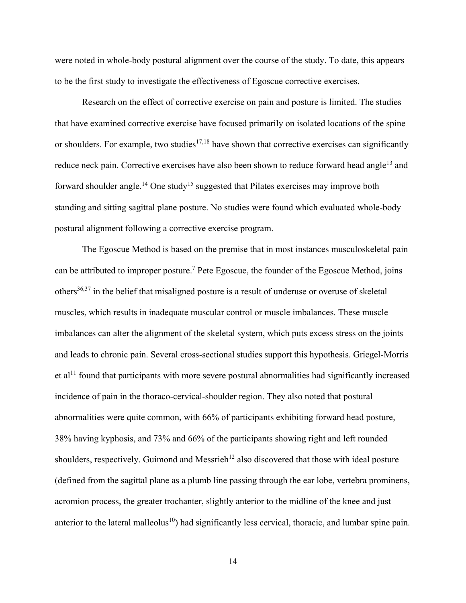were noted in whole-body postural alignment over the course of the study. To date, this appears to be the first study to investigate the effectiveness of Egoscue corrective exercises.

 Research on the effect of corrective exercise on pain and posture is limited. The studies that have examined corrective exercise have focused primarily on isolated locations of the spine or shoulders. For example, two studies<sup>[17,](#page-27-7)[18](#page-28-0)</sup> have shown that corrective exercises can significantly reduce neck pain. Corrective exercises have also been shown to reduce forward head angle<sup>[13](#page-27-3)</sup> and forward shoulder angle.<sup>[14](#page-27-4)</sup> One study<sup>[15](#page-27-5)</sup> suggested that Pilates exercises may improve both standing and sitting sagittal plane posture. No studies were found which evaluated whole-body postural alignment following a corrective exercise program.

 The Egoscue Method is based on the premise that in most instances musculoskeletal pain can be attributed to improper posture.<sup>[7](#page-26-7)</sup> Pete Egoscue, the founder of the Egoscue Method, joins others[36,](#page-30-4)[37](#page-30-5) in the belief that misaligned posture is a result of underuse or overuse of skeletal muscles, which results in inadequate muscular control or muscle imbalances. These muscle imbalances can alter the alignment of the skeletal system, which puts excess stress on the joints and leads to chronic pain. Several cross-sectional studies support this hypothesis. Griegel-Morris et al<sup>[11](#page-27-1)</sup>found that participants with more severe postural abnormalities had significantly increased incidence of pain in the thoraco-cervical-shoulder region. They also noted that postural abnormalities were quite common, with 66% of participants exhibiting forward head posture, 38% having kyphosis, and 73% and 66% of the participants showing right and left rounded shoulders, respectively. Guimond and Messrieh<sup>[12](#page-27-2)</sup> also discovered that those with ideal posture (defined from the sagittal plane as a plumb line passing through the ear lobe, vertebra prominens, acromion process, the greater trochanter, slightly anterior to the midline of the knee and just anterior to the lateral malleolus<sup>[10](#page-27-0)</sup>) had significantly less cervical, thoracic, and lumbar spine pain.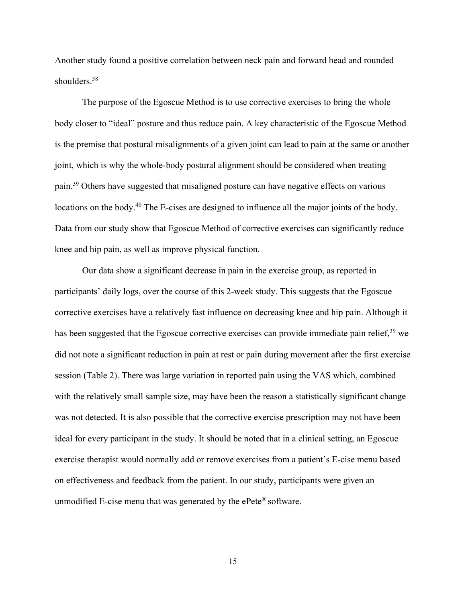Another study found a positive correlation between neck pain and forward head and rounded shoulders.<sup>[38](#page-30-6)</sup>

 The purpose of the Egoscue Method is to use corrective exercises to bring the whole body closer to "ideal" posture and thus reduce pain. A key characteristic of the Egoscue Method is the premise that postural misalignments of a given joint can lead to pain at the same or another joint, which is why the whole-body postural alignment should be considered when treating pain.[39](#page-30-7) Others have suggested that misaligned posture can have negative effects on various locations on the body.<sup>[40](#page-30-8)</sup> The E-cises are designed to influence all the major joints of the body. Data from our study show that Egoscue Method of corrective exercises can significantly reduce knee and hip pain, as well as improve physical function.

Our data show a significant decrease in pain in the exercise group, as reported in participants' daily logs, over the course of this 2-week study. This suggests that the Egoscue corrective exercises have a relatively fast influence on decreasing knee and hip pain. Although it has been suggested that the Egoscue corrective exercises can provide immediate pain relief,<sup>[39](#page-30-7)</sup> we did not note a significant reduction in pain at rest or pain during movement after the first exercise session (Table 2). There was large variation in reported pain using the VAS which, combined with the relatively small sample size, may have been the reason a statistically significant change was not detected. It is also possible that the corrective exercise prescription may not have been ideal for every participant in the study. It should be noted that in a clinical setting, an Egoscue exercise therapist would normally add or remove exercises from a patient's E-cise menu based on effectiveness and feedback from the patient. In our study, participants were given an unmodified E-cise menu that was generated by the ePete® software.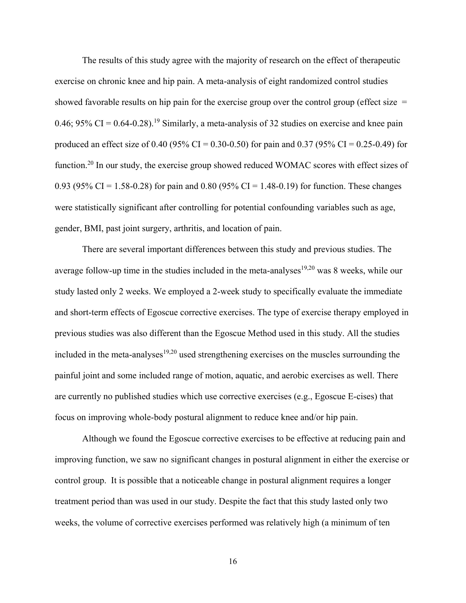The results of this study agree with the majority of research on the effect of therapeutic exercise on chronic knee and hip pain. A meta-analysis of eight randomized control studies showed favorable results on hip pain for the exercise group over the control group (effect size  $=$ 0.46;  $95\%$  CI = 0.64-0.28).<sup>[19](#page-28-1)</sup> Similarly, a meta-analysis of 32 studies on exercise and knee pain produced an effect size of 0.40 (95% CI = 0.30-0.50) for pain and 0.37 (95% CI = 0.25-0.49) for function.<sup>[20](#page-28-2)</sup> In our study, the exercise group showed reduced WOMAC scores with effect sizes of 0.93 (95% CI = 1.58-0.28) for pain and 0.80 (95% CI = 1.48-0.19) for function. These changes were statistically significant after controlling for potential confounding variables such as age, gender, BMI, past joint surgery, arthritis, and location of pain.

There are several important differences between this study and previous studies. The average follow-up time in the studies included in the meta-analyses<sup>[19,](#page-28-1)[20](#page-28-2)</sup> was 8 weeks, while our study lasted only 2 weeks. We employed a 2-week study to specifically evaluate the immediate and short-term effects of Egoscue corrective exercises. The type of exercise therapy employed in previous studies was also different than the Egoscue Method used in this study. All the studies included in the meta-analyses $19,20$  $19,20$  used strengthening exercises on the muscles surrounding the painful joint and some included range of motion, aquatic, and aerobic exercises as well. There are currently no published studies which use corrective exercises (e.g., Egoscue E-cises) that focus on improving whole-body postural alignment to reduce knee and/or hip pain.

 Although we found the Egoscue corrective exercises to be effective at reducing pain and improving function, we saw no significant changes in postural alignment in either the exercise or control group. It is possible that a noticeable change in postural alignment requires a longer treatment period than was used in our study. Despite the fact that this study lasted only two weeks, the volume of corrective exercises performed was relatively high (a minimum of ten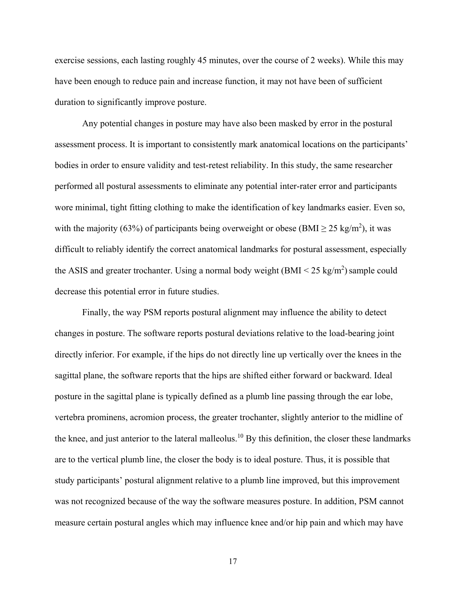exercise sessions, each lasting roughly 45 minutes, over the course of 2 weeks). While this may have been enough to reduce pain and increase function, it may not have been of sufficient duration to significantly improve posture.

Any potential changes in posture may have also been masked by error in the postural assessment process. It is important to consistently mark anatomical locations on the participants' bodies in order to ensure validity and test-retest reliability. In this study, the same researcher performed all postural assessments to eliminate any potential inter-rater error and participants wore minimal, tight fitting clothing to make the identification of key landmarks easier. Even so, with the majority (63%) of participants being overweight or obese (BMI  $\geq$  25 kg/m<sup>2</sup>), it was difficult to reliably identify the correct anatomical landmarks for postural assessment, especially the ASIS and greater trochanter. Using a normal body weight  $(BMI < 25 \text{ kg/m}^2)$  sample could decrease this potential error in future studies.

Finally, the way PSM reports postural alignment may influence the ability to detect changes in posture. The software reports postural deviations relative to the load-bearing joint directly inferior. For example, if the hips do not directly line up vertically over the knees in the sagittal plane, the software reports that the hips are shifted either forward or backward. Ideal posture in the sagittal plane is typically defined as a plumb line passing through the ear lobe, vertebra prominens, acromion process, the greater trochanter, slightly anterior to the midline of the knee, and just anterior to the lateral malleolus.<sup>[10](#page-27-0)</sup> By this definition, the closer these landmarks are to the vertical plumb line, the closer the body is to ideal posture. Thus, it is possible that study participants' postural alignment relative to a plumb line improved, but this improvement was not recognized because of the way the software measures posture. In addition, PSM cannot measure certain postural angles which may influence knee and/or hip pain and which may have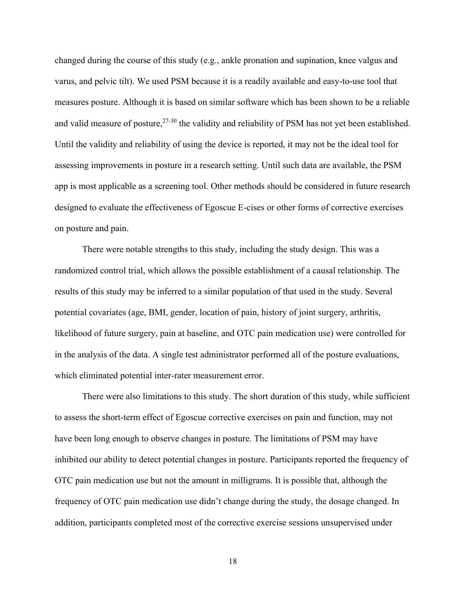changed during the course of this study (e.g., ankle pronation and supination, knee valgus and varus, and pelvic tilt). We used PSM because it is a readily available and easy-to-use tool that measures posture. Although it is based on similar software which has been shown to be a reliable and valid measure of posture, <sup>[27-30](#page-29-2)</sup> the validity and reliability of PSM has not yet been established. Until the validity and reliability of using the device is reported, it may not be the ideal tool for assessing improvements in posture in a research setting. Until such data are available, the PSM app is most applicable as a screening tool. Other methods should be considered in future research designed to evaluate the effectiveness of Egoscue E-cises or other forms of corrective exercises on posture and pain.

 There were notable strengths to this study, including the study design. This was a randomized control trial, which allows the possible establishment of a causal relationship. The results of this study may be inferred to a similar population of that used in the study. Several potential covariates (age, BMI, gender, location of pain, history of joint surgery, arthritis, likelihood of future surgery, pain at baseline, and OTC pain medication use) were controlled for in the analysis of the data. A single test administrator performed all of the posture evaluations, which eliminated potential inter-rater measurement error.

 There were also limitations to this study. The short duration of this study, while sufficient to assess the short-term effect of Egoscue corrective exercises on pain and function, may not have been long enough to observe changes in posture. The limitations of PSM may have inhibited our ability to detect potential changes in posture. Participants reported the frequency of OTC pain medication use but not the amount in milligrams. It is possible that, although the frequency of OTC pain medication use didn't change during the study, the dosage changed. In addition, participants completed most of the corrective exercise sessions unsupervised under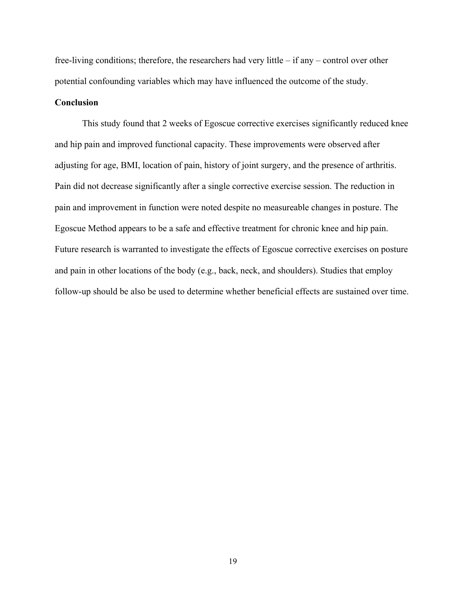free-living conditions; therefore, the researchers had very little – if any – control over other potential confounding variables which may have influenced the outcome of the study.

## <span id="page-25-0"></span>**Conclusion**

 This study found that 2 weeks of Egoscue corrective exercises significantly reduced knee and hip pain and improved functional capacity. These improvements were observed after adjusting for age, BMI, location of pain, history of joint surgery, and the presence of arthritis. Pain did not decrease significantly after a single corrective exercise session. The reduction in pain and improvement in function were noted despite no measureable changes in posture. The Egoscue Method appears to be a safe and effective treatment for chronic knee and hip pain. Future research is warranted to investigate the effects of Egoscue corrective exercises on posture and pain in other locations of the body (e.g., back, neck, and shoulders). Studies that employ follow-up should be also be used to determine whether beneficial effects are sustained over time.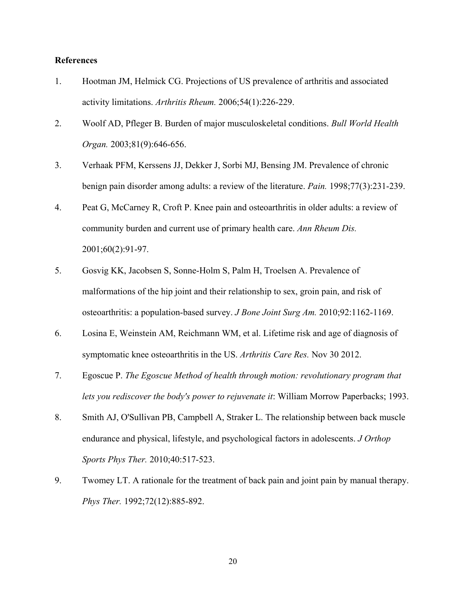## <span id="page-26-0"></span>**References**

- <span id="page-26-1"></span>1. Hootman JM, Helmick CG. Projections of US prevalence of arthritis and associated activity limitations. *Arthritis Rheum.* 2006;54(1):226-229.
- <span id="page-26-2"></span>2. Woolf AD, Pfleger B. Burden of major musculoskeletal conditions. *Bull World Health Organ.* 2003;81(9):646-656.
- <span id="page-26-3"></span>3. Verhaak PFM, Kerssens JJ, Dekker J, Sorbi MJ, Bensing JM. Prevalence of chronic benign pain disorder among adults: a review of the literature. *Pain.* 1998;77(3):231-239.
- <span id="page-26-4"></span>4. Peat G, McCarney R, Croft P. Knee pain and osteoarthritis in older adults: a review of community burden and current use of primary health care. *Ann Rheum Dis.*  2001;60(2):91-97.
- <span id="page-26-5"></span>5. Gosvig KK, Jacobsen S, Sonne-Holm S, Palm H, Troelsen A. Prevalence of malformations of the hip joint and their relationship to sex, groin pain, and risk of osteoarthritis: a population-based survey. *J Bone Joint Surg Am.* 2010;92:1162-1169.
- <span id="page-26-6"></span>6. Losina E, Weinstein AM, Reichmann WM, et al. Lifetime risk and age of diagnosis of symptomatic knee osteoarthritis in the US. *Arthritis Care Res.* Nov 30 2012.
- <span id="page-26-7"></span>7. Egoscue P. *The Egoscue Method of health through motion: revolutionary program that lets you rediscover the body's power to rejuvenate it*: William Morrow Paperbacks; 1993.
- <span id="page-26-8"></span>8. Smith AJ, O'Sullivan PB, Campbell A, Straker L. The relationship between back muscle endurance and physical, lifestyle, and psychological factors in adolescents. *J Orthop Sports Phys Ther.* 2010;40:517-523.
- <span id="page-26-9"></span>9. Twomey LT. A rationale for the treatment of back pain and joint pain by manual therapy. *Phys Ther.* 1992;72(12):885-892.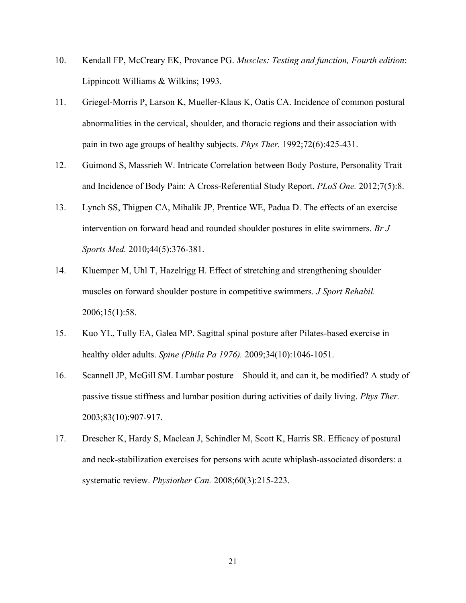- <span id="page-27-0"></span>10. Kendall FP, McCreary EK, Provance PG. *Muscles: Testing and function, Fourth edition*: Lippincott Williams & Wilkins; 1993.
- <span id="page-27-1"></span>11. Griegel-Morris P, Larson K, Mueller-Klaus K, Oatis CA. Incidence of common postural abnormalities in the cervical, shoulder, and thoracic regions and their association with pain in two age groups of healthy subjects. *Phys Ther.* 1992;72(6):425-431.
- <span id="page-27-2"></span>12. Guimond S, Massrieh W. Intricate Correlation between Body Posture, Personality Trait and Incidence of Body Pain: A Cross-Referential Study Report. *PLoS One.* 2012;7(5):8.
- <span id="page-27-3"></span>13. Lynch SS, Thigpen CA, Mihalik JP, Prentice WE, Padua D. The effects of an exercise intervention on forward head and rounded shoulder postures in elite swimmers. *Br J Sports Med.* 2010;44(5):376-381.
- <span id="page-27-4"></span>14. Kluemper M, Uhl T, Hazelrigg H. Effect of stretching and strengthening shoulder muscles on forward shoulder posture in competitive swimmers. *J Sport Rehabil.*  2006;15(1):58.
- <span id="page-27-5"></span>15. Kuo YL, Tully EA, Galea MP. Sagittal spinal posture after Pilates-based exercise in healthy older adults. *Spine (Phila Pa 1976).* 2009;34(10):1046-1051.
- <span id="page-27-6"></span>16. Scannell JP, McGill SM. Lumbar posture—Should it, and can it, be modified? A study of passive tissue stiffness and lumbar position during activities of daily living. *Phys Ther.*  2003;83(10):907-917.
- <span id="page-27-7"></span>17. Drescher K, Hardy S, Maclean J, Schindler M, Scott K, Harris SR. Efficacy of postural and neck-stabilization exercises for persons with acute whiplash-associated disorders: a systematic review. *Physiother Can.* 2008;60(3):215-223.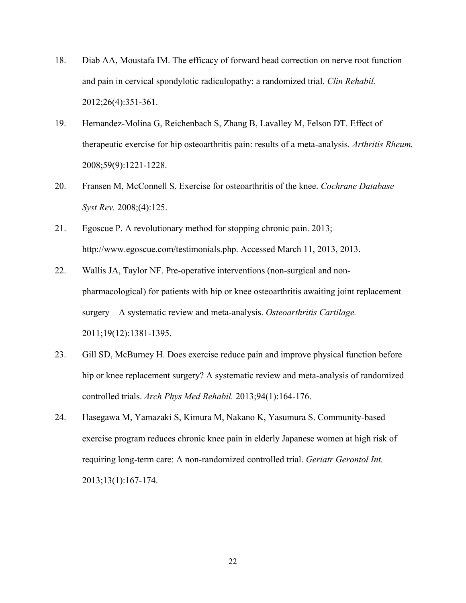- <span id="page-28-0"></span>18. Diab AA, Moustafa IM. The efficacy of forward head correction on nerve root function and pain in cervical spondylotic radiculopathy: a randomized trial. *Clin Rehabil.*  2012;26(4):351-361.
- <span id="page-28-1"></span>19. Hernandez-Molina G, Reichenbach S, Zhang B, Lavalley M, Felson DT. Effect of therapeutic exercise for hip osteoarthritis pain: results of a meta-analysis. *Arthritis Rheum.*  2008;59(9):1221-1228.
- <span id="page-28-2"></span>20. Fransen M, McConnell S. Exercise for osteoarthritis of the knee. *Cochrane Database Syst Rev.* 2008;(4):125.
- <span id="page-28-3"></span>21. Egoscue P. A revolutionary method for stopping chronic pain. 2013; http://www.egoscue.com/testimonials.php. Accessed March 11, 2013, 2013.
- <span id="page-28-4"></span>22. Wallis JA, Taylor NF. Pre-operative interventions (non-surgical and nonpharmacological) for patients with hip or knee osteoarthritis awaiting joint replacement surgery—A systematic review and meta-analysis. *Osteoarthritis Cartilage.*  2011;19(12):1381-1395.
- <span id="page-28-5"></span>23. Gill SD, McBurney H. Does exercise reduce pain and improve physical function before hip or knee replacement surgery? A systematic review and meta-analysis of randomized controlled trials. *Arch Phys Med Rehabil.* 2013;94(1):164-176.
- <span id="page-28-6"></span>24. Hasegawa M, Yamazaki S, Kimura M, Nakano K, Yasumura S. Community-based exercise program reduces chronic knee pain in elderly Japanese women at high risk of requiring long-term care: A non-randomized controlled trial. *Geriatr Gerontol Int.*  2013;13(1):167-174.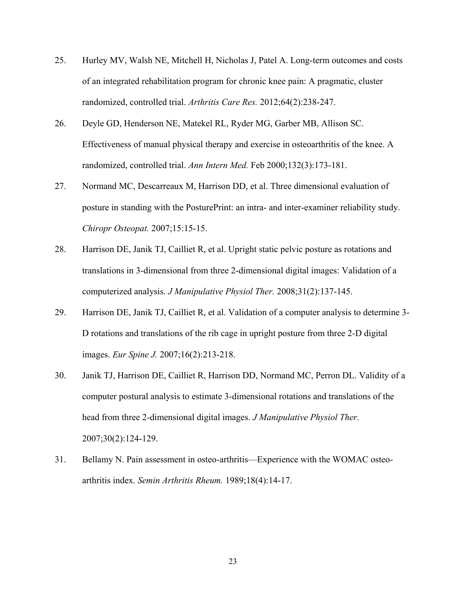- <span id="page-29-0"></span>25. Hurley MV, Walsh NE, Mitchell H, Nicholas J, Patel A. Long-term outcomes and costs of an integrated rehabilitation program for chronic knee pain: A pragmatic, cluster randomized, controlled trial. *Arthritis Care Res.* 2012;64(2):238-247.
- <span id="page-29-1"></span>26. Deyle GD, Henderson NE, Matekel RL, Ryder MG, Garber MB, Allison SC. Effectiveness of manual physical therapy and exercise in osteoarthritis of the knee. A randomized, controlled trial. *Ann Intern Med.* Feb 2000;132(3):173-181.
- <span id="page-29-2"></span>27. Normand MC, Descarreaux M, Harrison DD, et al. Three dimensional evaluation of posture in standing with the PosturePrint: an intra- and inter-examiner reliability study. *Chiropr Osteopat.* 2007;15:15-15.
- 28. Harrison DE, Janik TJ, Cailliet R, et al. Upright static pelvic posture as rotations and translations in 3-dimensional from three 2-dimensional digital images: Validation of a computerized analysis. *J Manipulative Physiol Ther.* 2008;31(2):137-145.
- 29. Harrison DE, Janik TJ, Cailliet R, et al. Validation of a computer analysis to determine 3- D rotations and translations of the rib cage in upright posture from three 2-D digital images. *Eur Spine J.* 2007;16(2):213-218.
- 30. Janik TJ, Harrison DE, Cailliet R, Harrison DD, Normand MC, Perron DL. Validity of a computer postural analysis to estimate 3-dimensional rotations and translations of the head from three 2-dimensional digital images. *J Manipulative Physiol Ther.*  2007;30(2):124-129.
- <span id="page-29-3"></span>31. Bellamy N. Pain assessment in osteo-arthritis—Experience with the WOMAC osteoarthritis index. *Semin Arthritis Rheum.* 1989;18(4):14-17.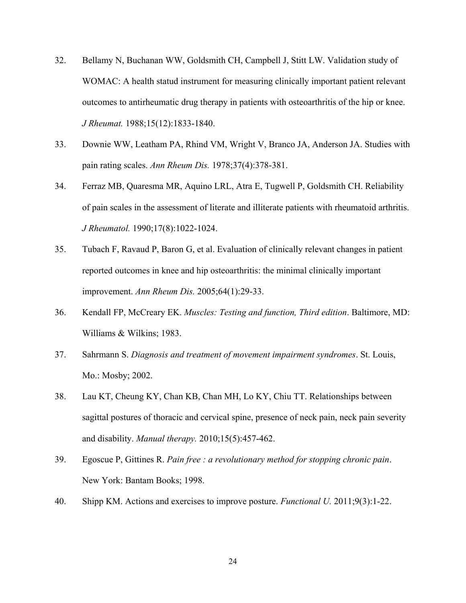- <span id="page-30-0"></span>32. Bellamy N, Buchanan WW, Goldsmith CH, Campbell J, Stitt LW. Validation study of WOMAC: A health statud instrument for measuring clinically important patient relevant outcomes to antirheumatic drug therapy in patients with osteoarthritis of the hip or knee. *J Rheumat.* 1988;15(12):1833-1840.
- <span id="page-30-1"></span>33. Downie WW, Leatham PA, Rhind VM, Wright V, Branco JA, Anderson JA. Studies with pain rating scales. *Ann Rheum Dis.* 1978;37(4):378-381.
- <span id="page-30-2"></span>34. Ferraz MB, Quaresma MR, Aquino LRL, Atra E, Tugwell P, Goldsmith CH. Reliability of pain scales in the assessment of literate and illiterate patients with rheumatoid arthritis. *J Rheumatol.* 1990;17(8):1022-1024.
- <span id="page-30-3"></span>35. Tubach F, Ravaud P, Baron G, et al. Evaluation of clinically relevant changes in patient reported outcomes in knee and hip osteoarthritis: the minimal clinically important improvement. *Ann Rheum Dis.* 2005;64(1):29-33.
- <span id="page-30-4"></span>36. Kendall FP, McCreary EK. *Muscles: Testing and function, Third edition*. Baltimore, MD: Williams & Wilkins; 1983.
- <span id="page-30-5"></span>37. Sahrmann S. *Diagnosis and treatment of movement impairment syndromes*. St. Louis, Mo.: Mosby; 2002.
- <span id="page-30-6"></span>38. Lau KT, Cheung KY, Chan KB, Chan MH, Lo KY, Chiu TT. Relationships between sagittal postures of thoracic and cervical spine, presence of neck pain, neck pain severity and disability. *Manual therapy.* 2010;15(5):457-462.
- <span id="page-30-7"></span>39. Egoscue P, Gittines R. *Pain free : a revolutionary method for stopping chronic pain*. New York: Bantam Books; 1998.
- <span id="page-30-8"></span>40. Shipp KM. Actions and exercises to improve posture. *Functional U.* 2011;9(3):1-22.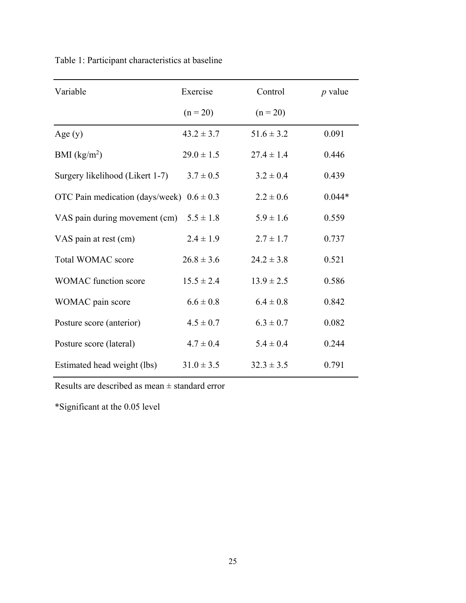| Variable                        | Exercise       | Control        | $p$ value |
|---------------------------------|----------------|----------------|-----------|
|                                 | $(n = 20)$     | $(n = 20)$     |           |
| Age $(y)$                       | $43.2 \pm 3.7$ | $51.6 \pm 3.2$ | 0.091     |
| BMI $(kg/m2)$                   | $29.0 \pm 1.5$ | $27.4 \pm 1.4$ | 0.446     |
| Surgery likelihood (Likert 1-7) | $3.7 \pm 0.5$  | $3.2 \pm 0.4$  | 0.439     |
| OTC Pain medication (days/week) | $0.6 \pm 0.3$  | $2.2 \pm 0.6$  | $0.044*$  |
| VAS pain during movement (cm)   | $5.5 \pm 1.8$  | $5.9 \pm 1.6$  | 0.559     |
| VAS pain at rest (cm)           | $2.4 \pm 1.9$  | $2.7 \pm 1.7$  | 0.737     |
| <b>Total WOMAC score</b>        | $26.8 \pm 3.6$ | $24.2 \pm 3.8$ | 0.521     |
| <b>WOMAC</b> function score     | $15.5 \pm 2.4$ | $13.9 \pm 2.5$ | 0.586     |
| WOMAC pain score                | $6.6 \pm 0.8$  | $6.4 \pm 0.8$  | 0.842     |
| Posture score (anterior)        | $4.5 \pm 0.7$  | $6.3 \pm 0.7$  | 0.082     |
| Posture score (lateral)         | $4.7 \pm 0.4$  | $5.4 \pm 0.4$  | 0.244     |
| Estimated head weight (lbs)     | $31.0 \pm 3.5$ | $32.3 \pm 3.5$ | 0.791     |
|                                 |                |                |           |

<span id="page-31-0"></span>Table 1: Participant characteristics at baseline

Results are described as mean ± standard error

\*Significant at the 0.05 level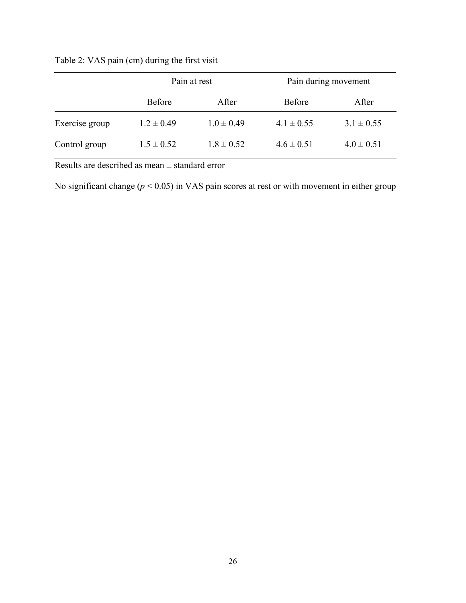<span id="page-32-0"></span>

| Table 2: VAS pain (cm) during the first visit |  |  |  |
|-----------------------------------------------|--|--|--|
|                                               |  |  |  |

|                | Pain at rest   |                | Pain during movement |                |  |
|----------------|----------------|----------------|----------------------|----------------|--|
|                | <b>Before</b>  | After          | <b>Before</b>        | After          |  |
| Exercise group | $1.2 \pm 0.49$ | $1.0 \pm 0.49$ | $4.1 \pm 0.55$       | $3.1 \pm 0.55$ |  |
| Control group  | $1.5 \pm 0.52$ | $1.8 \pm 0.52$ | $4.6 \pm 0.51$       | $4.0 \pm 0.51$ |  |

Results are described as mean ± standard error

No significant change (*p* < 0.05) in VAS pain scores at rest or with movement in either group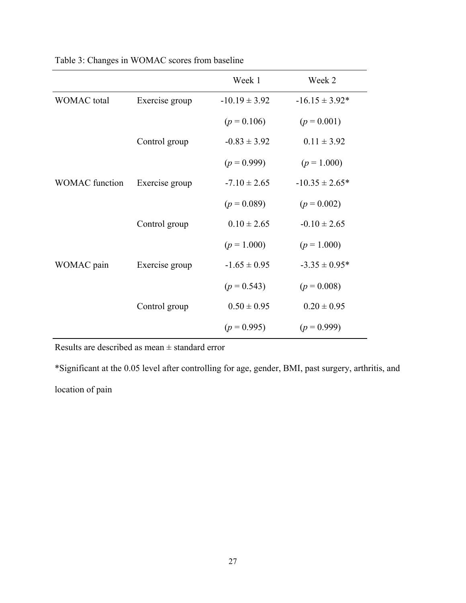|                       |                | Week 1            | Week 2             |
|-----------------------|----------------|-------------------|--------------------|
| <b>WOMAC</b> total    | Exercise group | $-10.19 \pm 3.92$ | $-16.15 \pm 3.92*$ |
|                       |                | $(p = 0.106)$     | $(p = 0.001)$      |
|                       | Control group  | $-0.83 \pm 3.92$  | $0.11 \pm 3.92$    |
|                       |                | $(p = 0.999)$     | $(p = 1.000)$      |
| <b>WOMAC</b> function | Exercise group | $-7.10 \pm 2.65$  | $-10.35 \pm 2.65*$ |
|                       |                | $(p = 0.089)$     | $(p = 0.002)$      |
|                       | Control group  | $0.10 \pm 2.65$   | $-0.10 \pm 2.65$   |
|                       |                | $(p = 1.000)$     | $(p = 1.000)$      |
| WOMAC pain            | Exercise group | $-1.65 \pm 0.95$  | $-3.35 \pm 0.95*$  |
|                       |                | $(p = 0.543)$     | $(p = 0.008)$      |
|                       | Control group  | $0.50 \pm 0.95$   | $0.20 \pm 0.95$    |
|                       |                | $(p = 0.995)$     | $(p = 0.999)$      |

<span id="page-33-0"></span>Table 3: Changes in WOMAC scores from baseline

Results are described as mean ± standard error

\*Significant at the 0.05 level after controlling for age, gender, BMI, past surgery, arthritis, and

location of pain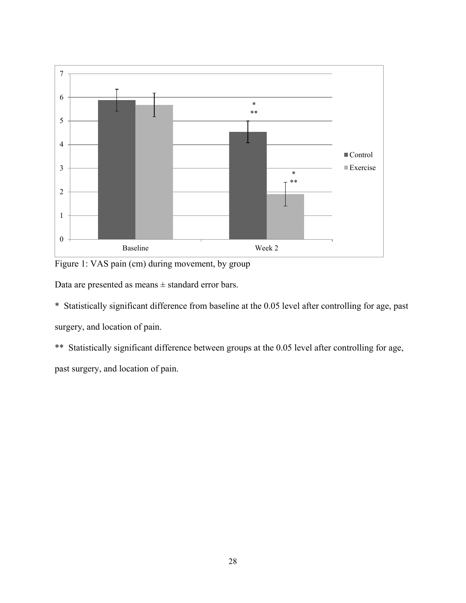

<span id="page-34-0"></span>Figure 1: VAS pain (cm) during movement, by group

Data are presented as means  $\pm$  standard error bars.

\* Statistically significant difference from baseline at the 0.05 level after controlling for age, past surgery, and location of pain.

\*\* Statistically significant difference between groups at the 0.05 level after controlling for age,

past surgery, and location of pain.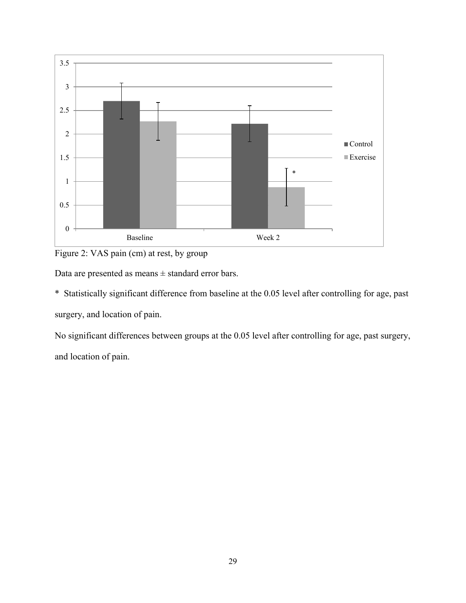

<span id="page-35-0"></span>Figure 2: VAS pain (cm) at rest, by group

Data are presented as means ± standard error bars.

\* Statistically significant difference from baseline at the 0.05 level after controlling for age, past surgery, and location of pain.

No significant differences between groups at the 0.05 level after controlling for age, past surgery, and location of pain.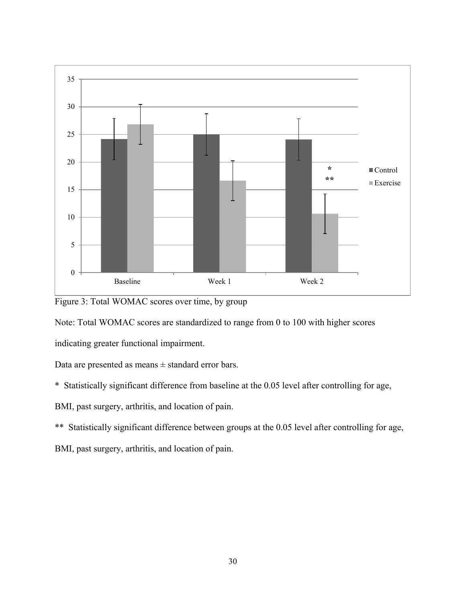

<span id="page-36-0"></span>Figure 3: Total WOMAC scores over time, by group

Note: Total WOMAC scores are standardized to range from 0 to 100 with higher scores

indicating greater functional impairment.

Data are presented as means ± standard error bars.

\* Statistically significant difference from baseline at the 0.05 level after controlling for age,

BMI, past surgery, arthritis, and location of pain.

\*\* Statistically significant difference between groups at the 0.05 level after controlling for age,

BMI, past surgery, arthritis, and location of pain.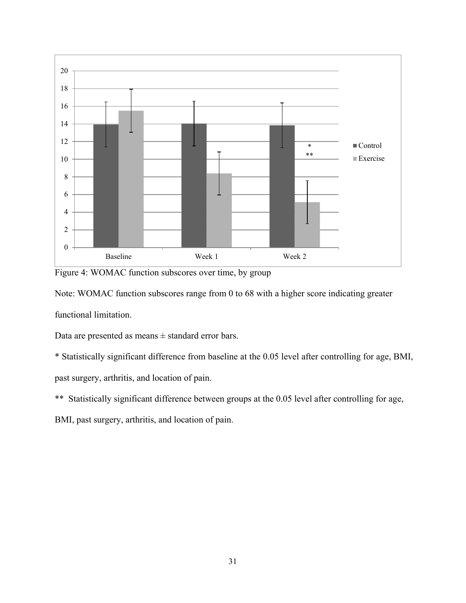

<span id="page-37-0"></span>Figure 4: WOMAC function subscores over time, by group

Note: WOMAC function subscores range from 0 to 68 with a higher score indicating greater functional limitation.

Data are presented as means  $\pm$  standard error bars.

\* Statistically significant difference from baseline at the 0.05 level after controlling for age, BMI, past surgery, arthritis, and location of pain.

\*\* Statistically significant difference between groups at the 0.05 level after controlling for age,

BMI, past surgery, arthritis, and location of pain.